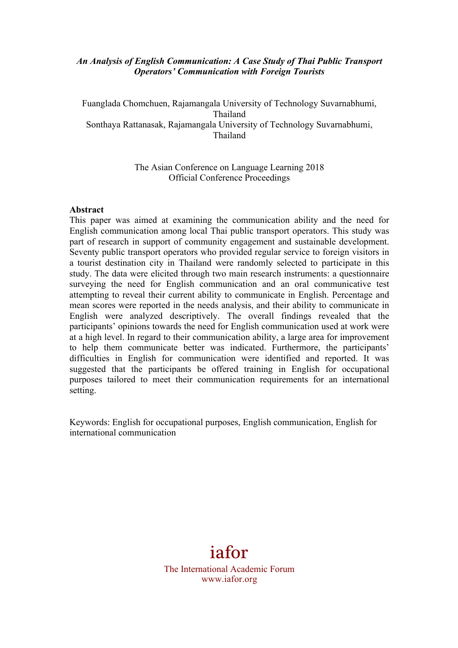#### *An Analysis of English Communication: A Case Study of Thai Public Transport Operators' Communication with Foreign Tourists*

Fuanglada Chomchuen, Rajamangala University of Technology Suvarnabhumi, Thailand Sonthaya Rattanasak, Rajamangala University of Technology Suvarnabhumi, Thailand

> The Asian Conference on Language Learning 2018 Official Conference Proceedings

#### **Abstract**

This paper was aimed at examining the communication ability and the need for English communication among local Thai public transport operators. This study was part of research in support of community engagement and sustainable development. Seventy public transport operators who provided regular service to foreign visitors in a tourist destination city in Thailand were randomly selected to participate in this study. The data were elicited through two main research instruments: a questionnaire surveying the need for English communication and an oral communicative test attempting to reveal their current ability to communicate in English. Percentage and mean scores were reported in the needs analysis, and their ability to communicate in English were analyzed descriptively. The overall findings revealed that the participants' opinions towards the need for English communication used at work were at a high level. In regard to their communication ability, a large area for improvement to help them communicate better was indicated. Furthermore, the participants' difficulties in English for communication were identified and reported. It was suggested that the participants be offered training in English for occupational purposes tailored to meet their communication requirements for an international setting.

Keywords: English for occupational purposes, English communication, English for international communication

# iafor

The International Academic Forum www.iafor.org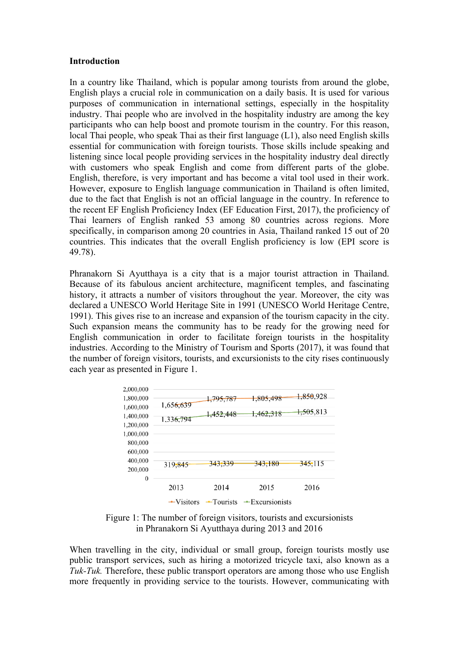#### **Introduction**

In a country like Thailand, which is popular among tourists from around the globe, English plays a crucial role in communication on a daily basis. It is used for various purposes of communication in international settings, especially in the hospitality industry. Thai people who are involved in the hospitality industry are among the key participants who can help boost and promote tourism in the country. For this reason, local Thai people, who speak Thai as their first language (L1), also need English skills essential for communication with foreign tourists. Those skills include speaking and listening since local people providing services in the hospitality industry deal directly with customers who speak English and come from different parts of the globe. English, therefore, is very important and has become a vital tool used in their work. However, exposure to English language communication in Thailand is often limited, due to the fact that English is not an official language in the country. In reference to the recent EF English Proficiency Index (EF Education First, 2017), the proficiency of Thai learners of English ranked 53 among 80 countries across regions. More specifically, in comparison among 20 countries in Asia, Thailand ranked 15 out of 20 countries. This indicates that the overall English proficiency is low (EPI score is 49.78).

Phranakorn Si Ayutthaya is a city that is a major tourist attraction in Thailand. Because of its fabulous ancient architecture, magnificent temples, and fascinating history, it attracts a number of visitors throughout the year. Moreover, the city was declared a UNESCO World Heritage Site in 1991 (UNESCO World Heritage Centre, 1991). This gives rise to an increase and expansion of the tourism capacity in the city. Such expansion means the community has to be ready for the growing need for English communication in order to facilitate foreign tourists in the hospitality industries. According to the Ministry of Tourism and Sports (2017), it was found that the number of foreign visitors, tourists, and excursionists to the city rises continuously each year as presented in Figure 1.



Figure 1: The number of foreign visitors, tourists and excursionists in Phranakorn Si Ayutthaya during 2013 and 2016

When travelling in the city, individual or small group, foreign tourists mostly use public transport services, such as hiring a motorized tricycle taxi, also known as a *Tuk-Tuk.* Therefore, these public transport operators are among those who use English more frequently in providing service to the tourists. However, communicating with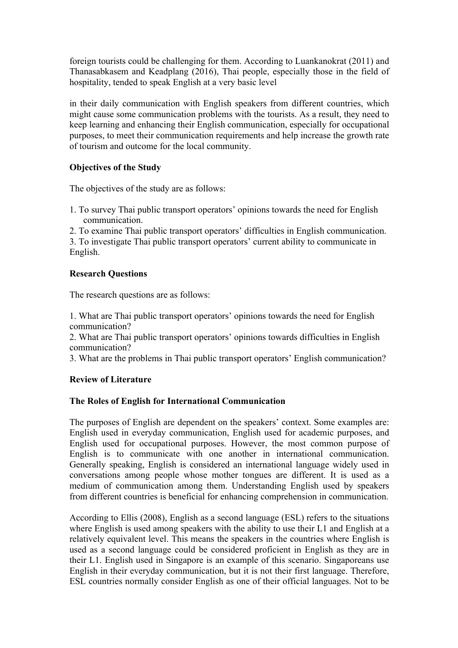foreign tourists could be challenging for them. According to Luankanokrat (2011) and Thanasabkasem and Keadplang (2016), Thai people, especially those in the field of hospitality, tended to speak English at a very basic level

in their daily communication with English speakers from different countries, which might cause some communication problems with the tourists. As a result, they need to keep learning and enhancing their English communication, especially for occupational purposes, to meet their communication requirements and help increase the growth rate of tourism and outcome for the local community.

# **Objectives of the Study**

The objectives of the study are as follows:

1. To survey Thai public transport operators' opinions towards the need for English communication.

2. To examine Thai public transport operators' difficulties in English communication.

3. To investigate Thai public transport operators' current ability to communicate in English.

# **Research Questions**

The research questions are as follows:

1. What are Thai public transport operators' opinions towards the need for English communication?

2. What are Thai public transport operators' opinions towards difficulties in English communication?

3. What are the problems in Thai public transport operators' English communication?

# **Review of Literature**

# **The Roles of English for International Communication**

The purposes of English are dependent on the speakers' context. Some examples are: English used in everyday communication, English used for academic purposes, and English used for occupational purposes. However, the most common purpose of English is to communicate with one another in international communication. Generally speaking, English is considered an international language widely used in conversations among people whose mother tongues are different. It is used as a medium of communication among them. Understanding English used by speakers from different countries is beneficial for enhancing comprehension in communication.

According to Ellis (2008), English as a second language (ESL) refers to the situations where English is used among speakers with the ability to use their L1 and English at a relatively equivalent level. This means the speakers in the countries where English is used as a second language could be considered proficient in English as they are in their L1. English used in Singapore is an example of this scenario. Singaporeans use English in their everyday communication, but it is not their first language. Therefore, ESL countries normally consider English as one of their official languages. Not to be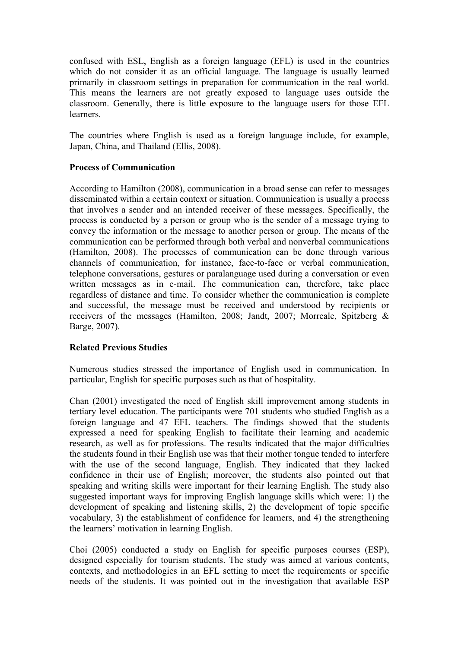confused with ESL, English as a foreign language (EFL) is used in the countries which do not consider it as an official language. The language is usually learned primarily in classroom settings in preparation for communication in the real world. This means the learners are not greatly exposed to language uses outside the classroom. Generally, there is little exposure to the language users for those EFL learners.

The countries where English is used as a foreign language include, for example, Japan, China, and Thailand (Ellis, 2008).

#### **Process of Communication**

According to Hamilton (2008), communication in a broad sense can refer to messages disseminated within a certain context or situation. Communication is usually a process that involves a sender and an intended receiver of these messages. Specifically, the process is conducted by a person or group who is the sender of a message trying to convey the information or the message to another person or group. The means of the communication can be performed through both verbal and nonverbal communications (Hamilton, 2008). The processes of communication can be done through various channels of communication, for instance, face-to-face or verbal communication, telephone conversations, gestures or paralanguage used during a conversation or even written messages as in e-mail. The communication can, therefore, take place regardless of distance and time. To consider whether the communication is complete and successful, the message must be received and understood by recipients or receivers of the messages (Hamilton, 2008; Jandt, 2007; Morreale, Spitzberg & Barge, 2007).

# **Related Previous Studies**

Numerous studies stressed the importance of English used in communication. In particular, English for specific purposes such as that of hospitality.

Chan (2001) investigated the need of English skill improvement among students in tertiary level education. The participants were 701 students who studied English as a foreign language and 47 EFL teachers. The findings showed that the students expressed a need for speaking English to facilitate their learning and academic research, as well as for professions. The results indicated that the major difficulties the students found in their English use was that their mother tongue tended to interfere with the use of the second language, English. They indicated that they lacked confidence in their use of English; moreover, the students also pointed out that speaking and writing skills were important for their learning English. The study also suggested important ways for improving English language skills which were: 1) the development of speaking and listening skills, 2) the development of topic specific vocabulary, 3) the establishment of confidence for learners, and 4) the strengthening the learners' motivation in learning English.

Choi (2005) conducted a study on English for specific purposes courses (ESP), designed especially for tourism students. The study was aimed at various contents, contexts, and methodologies in an EFL setting to meet the requirements or specific needs of the students. It was pointed out in the investigation that available ESP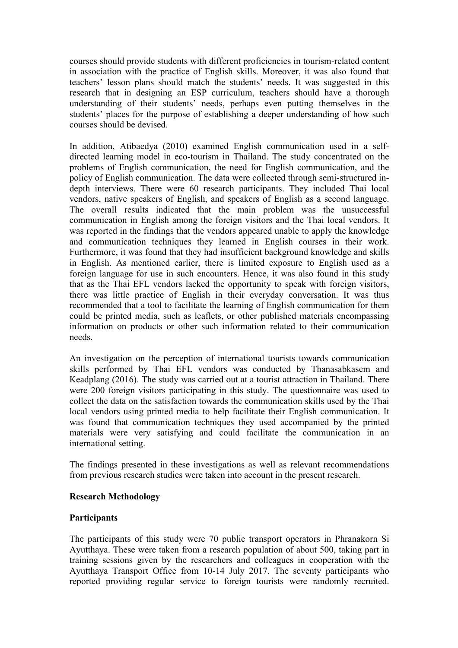courses should provide students with different proficiencies in tourism-related content in association with the practice of English skills. Moreover, it was also found that teachers' lesson plans should match the students' needs. It was suggested in this research that in designing an ESP curriculum, teachers should have a thorough understanding of their students' needs, perhaps even putting themselves in the students' places for the purpose of establishing a deeper understanding of how such courses should be devised.

In addition, Atibaedya (2010) examined English communication used in a selfdirected learning model in eco-tourism in Thailand. The study concentrated on the problems of English communication, the need for English communication, and the policy of English communication. The data were collected through semi-structured indepth interviews. There were 60 research participants. They included Thai local vendors, native speakers of English, and speakers of English as a second language. The overall results indicated that the main problem was the unsuccessful communication in English among the foreign visitors and the Thai local vendors. It was reported in the findings that the vendors appeared unable to apply the knowledge and communication techniques they learned in English courses in their work. Furthermore, it was found that they had insufficient background knowledge and skills in English. As mentioned earlier, there is limited exposure to English used as a foreign language for use in such encounters. Hence, it was also found in this study that as the Thai EFL vendors lacked the opportunity to speak with foreign visitors, there was little practice of English in their everyday conversation. It was thus recommended that a tool to facilitate the learning of English communication for them could be printed media, such as leaflets, or other published materials encompassing information on products or other such information related to their communication needs.

An investigation on the perception of international tourists towards communication skills performed by Thai EFL vendors was conducted by Thanasabkasem and Keadplang (2016). The study was carried out at a tourist attraction in Thailand. There were 200 foreign visitors participating in this study. The questionnaire was used to collect the data on the satisfaction towards the communication skills used by the Thai local vendors using printed media to help facilitate their English communication. It was found that communication techniques they used accompanied by the printed materials were very satisfying and could facilitate the communication in an international setting.

The findings presented in these investigations as well as relevant recommendations from previous research studies were taken into account in the present research.

#### **Research Methodology**

# **Participants**

The participants of this study were 70 public transport operators in Phranakorn Si Ayutthaya. These were taken from a research population of about 500, taking part in training sessions given by the researchers and colleagues in cooperation with the Ayutthaya Transport Office from 10-14 July 2017. The seventy participants who reported providing regular service to foreign tourists were randomly recruited.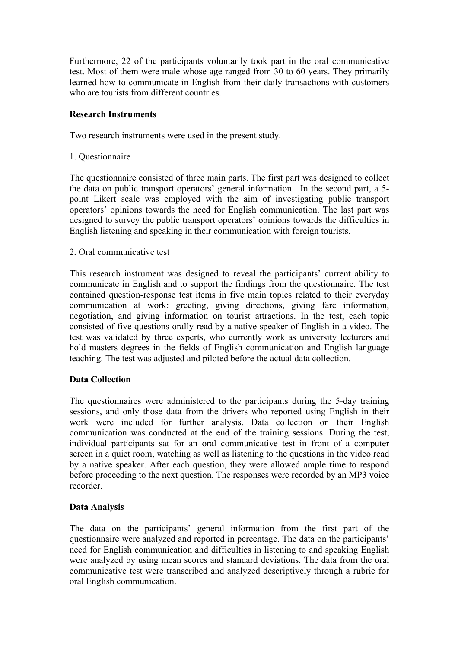Furthermore, 22 of the participants voluntarily took part in the oral communicative test. Most of them were male whose age ranged from 30 to 60 years. They primarily learned how to communicate in English from their daily transactions with customers who are tourists from different countries.

#### **Research Instruments**

Two research instruments were used in the present study.

1. Questionnaire

The questionnaire consisted of three main parts. The first part was designed to collect the data on public transport operators' general information. In the second part, a 5 point Likert scale was employed with the aim of investigating public transport operators' opinions towards the need for English communication. The last part was designed to survey the public transport operators' opinions towards the difficulties in English listening and speaking in their communication with foreign tourists.

2. Oral communicative test

This research instrument was designed to reveal the participants' current ability to communicate in English and to support the findings from the questionnaire. The test contained question-response test items in five main topics related to their everyday communication at work: greeting, giving directions, giving fare information, negotiation, and giving information on tourist attractions. In the test, each topic consisted of five questions orally read by a native speaker of English in a video. The test was validated by three experts, who currently work as university lecturers and hold masters degrees in the fields of English communication and English language teaching. The test was adjusted and piloted before the actual data collection.

# **Data Collection**

The questionnaires were administered to the participants during the 5-day training sessions, and only those data from the drivers who reported using English in their work were included for further analysis. Data collection on their English communication was conducted at the end of the training sessions. During the test, individual participants sat for an oral communicative test in front of a computer screen in a quiet room, watching as well as listening to the questions in the video read by a native speaker. After each question, they were allowed ample time to respond before proceeding to the next question. The responses were recorded by an MP3 voice recorder.

# **Data Analysis**

The data on the participants' general information from the first part of the questionnaire were analyzed and reported in percentage. The data on the participants' need for English communication and difficulties in listening to and speaking English were analyzed by using mean scores and standard deviations. The data from the oral communicative test were transcribed and analyzed descriptively through a rubric for oral English communication.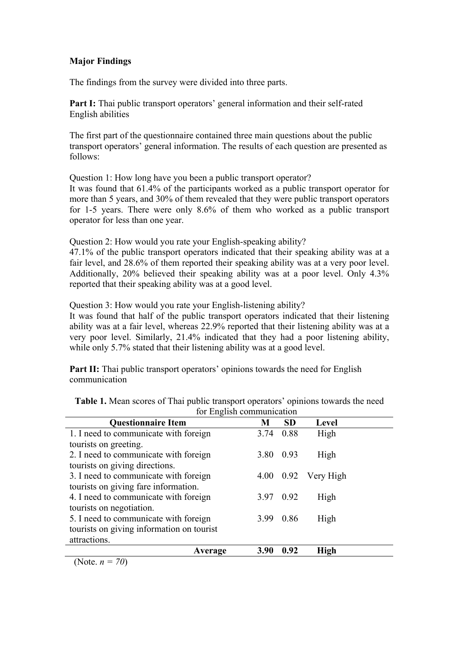# **Major Findings**

The findings from the survey were divided into three parts.

**Part I:** Thai public transport operators' general information and their self-rated English abilities

The first part of the questionnaire contained three main questions about the public transport operators' general information. The results of each question are presented as follows:

Question 1: How long have you been a public transport operator?

It was found that 61.4% of the participants worked as a public transport operator for more than 5 years, and 30% of them revealed that they were public transport operators for 1-5 years. There were only 8.6% of them who worked as a public transport operator for less than one year.

Question 2: How would you rate your English-speaking ability?

47.1% of the public transport operators indicated that their speaking ability was at a fair level, and 28.6% of them reported their speaking ability was at a very poor level. Additionally, 20% believed their speaking ability was at a poor level. Only 4.3% reported that their speaking ability was at a good level.

Question 3: How would you rate your English-listening ability?

It was found that half of the public transport operators indicated that their listening ability was at a fair level, whereas 22.9% reported that their listening ability was at a very poor level. Similarly, 21.4% indicated that they had a poor listening ability, while only 5.7% stated that their listening ability was at a good level.

**Part II:** Thai public transport operators' opinions towards the need for English communication

| <b>Questionnaire Item</b>                 |         | M    | <b>SD</b> | Level                   |  |
|-------------------------------------------|---------|------|-----------|-------------------------|--|
| 1. I need to communicate with foreign     |         | 3.74 | 0.88      | High                    |  |
| tourists on greeting.                     |         |      |           |                         |  |
| 2. I need to communicate with foreign     |         | 3.80 | 0.93      | High                    |  |
| tourists on giving directions.            |         |      |           |                         |  |
| 3. I need to communicate with foreign     |         |      |           | $4.00$ $0.92$ Very High |  |
| tourists on giving fare information.      |         |      |           |                         |  |
| 4. I need to communicate with foreign     |         | 3.97 | 0.92      | High                    |  |
| tourists on negotiation.                  |         |      |           |                         |  |
| 5. I need to communicate with foreign     |         | 3.99 | 0.86      | High                    |  |
| tourists on giving information on tourist |         |      |           |                         |  |
| attractions.                              |         |      |           |                         |  |
|                                           | Average | 3.90 | 0.92      | <b>High</b>             |  |

**Table 1.** Mean scores of Thai public transport operators' opinions towards the need for English communication

(Note. *n = 70*)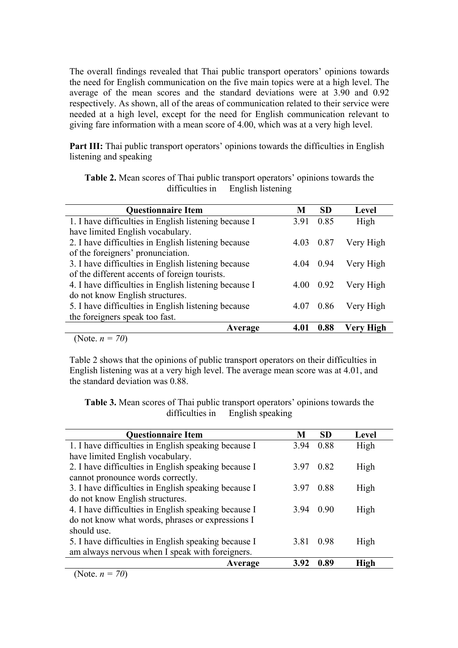The overall findings revealed that Thai public transport operators' opinions towards the need for English communication on the five main topics were at a high level. The average of the mean scores and the standard deviations were at 3.90 and 0.92 respectively. As shown, all of the areas of communication related to their service were needed at a high level, except for the need for English communication relevant to giving fare information with a mean score of 4.00, which was at a very high level.

**Part III:** Thai public transport operators' opinions towards the difficulties in English listening and speaking

| <b>Table 2.</b> Mean scores of Thai public transport operators' opinions towards the |                                   |  |
|--------------------------------------------------------------------------------------|-----------------------------------|--|
|                                                                                      | difficulties in English listening |  |

| <b>Questionnaire Item</b>                             | M    | <b>SD</b> | Level          |
|-------------------------------------------------------|------|-----------|----------------|
| 1. I have difficulties in English listening because I | 391  | 0.85      | High           |
| have limited English vocabulary.                      |      |           |                |
| 2. I have difficulties in English listening because   |      | 0.87      | Very High      |
| of the foreigners' pronunciation.                     |      |           |                |
| 3. I have difficulties in English listening because   | 4 04 | 0.94      | Very High      |
| of the different accents of foreign tourists.         |      |           |                |
| 4. I have difficulties in English listening because I |      | 0.92      | Very High      |
| do not know English structures.                       |      |           |                |
| 5. I have difficulties in English listening because   |      | 0.86      | Very High      |
| the foreigners speak too fast.                        |      |           |                |
| Average                                               |      | 0.88      | ligh<br>Verv H |

(Note. *n = 70*)

Table 2 shows that the opinions of public transport operators on their difficulties in English listening was at a very high level. The average mean score was at 4.01, and the standard deviation was 0.88.

**Table 3.** Mean scores of Thai public transport operators' opinions towards the difficulties in English speaking

| <b>Questionnaire Item</b>                            | M       | <b>SD</b> | <b>Level</b> |
|------------------------------------------------------|---------|-----------|--------------|
| 1. I have difficulties in English speaking because I | 394     | 0.88      | High         |
| have limited English vocabulary.                     |         |           |              |
| 2. I have difficulties in English speaking because I | 397     | 0.82      | High         |
| cannot pronounce words correctly.                    |         |           |              |
| 3. I have difficulties in English speaking because I | 397     | 0.88      | High         |
| do not know English structures.                      |         |           |              |
| 4. I have difficulties in English speaking because I | 394 090 |           | High         |
| do not know what words, phrases or expressions I     |         |           |              |
| should use.                                          |         |           |              |
| 5. I have difficulties in English speaking because I | 3.81    | 0.98      | High         |
| am always nervous when I speak with foreigners.      |         |           |              |
| Average                                              | 3.92    | 0.89      | <b>High</b>  |

(Note. *n = 70*)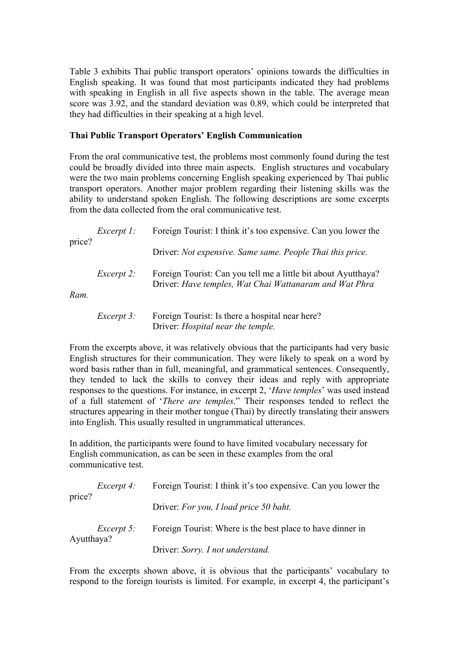Table 3 exhibits Thai public transport operators' opinions towards the difficulties in English speaking. It was found that most participants indicated they had problems with speaking in English in all five aspects shown in the table. The average mean score was 3.92, and the standard deviation was 0.89, which could be interpreted that they had difficulties in their speaking at a high level.

#### **Thai Public Transport Operators' English Communication**

From the oral communicative test, the problems most commonly found during the test could be broadly divided into three main aspects. English structures and vocabulary were the two main problems concerning English speaking experienced by Thai public transport operators. Another major problem regarding their listening skills was the ability to understand spoken English. The following descriptions are some excerpts from the data collected from the oral communicative test.

| price? | <i>Excerpt 1:</i> | Foreign Tourist: I think it's too expensive. Can you lower the                                                           |
|--------|-------------------|--------------------------------------------------------------------------------------------------------------------------|
|        |                   | Driver: Not expensive. Same same. People Thai this price.                                                                |
| Ram.   | Excerpt 2:        | Foreign Tourist: Can you tell me a little bit about Ayutthaya?<br>Driver: Have temples, Wat Chai Wattanaram and Wat Phra |
|        | <i>Excerpt 3:</i> | Foreign Tourist: Is there a hospital near here?                                                                          |

Driver: *Hospital near the temple.*

From the excerpts above, it was relatively obvious that the participants had very basic English structures for their communication. They were likely to speak on a word by word basis rather than in full, meaningful, and grammatical sentences. Consequently, they tended to lack the skills to convey their ideas and reply with appropriate responses to the questions. For instance, in excerpt 2, '*Have temples*' was used instead of a full statement of '*There are temples*." Their responses tended to reflect the structures appearing in their mother tongue (Thai) by directly translating their answers into English. This usually resulted in ungrammatical utterances.

In addition, the participants were found to have limited vocabulary necessary for English communication, as can be seen in these examples from the oral communicative test.

| price?     | <i>Excerpt 4:</i> | Foreign Tourist: I think it's too expensive. Can you lower the |
|------------|-------------------|----------------------------------------------------------------|
|            |                   | Driver: For you, I load price 50 baht.                         |
| Ayutthaya? | <i>Excerpt</i> 5: | Foreign Tourist: Where is the best place to have dinner in     |
|            |                   | Driver: Sorry. I not understand.                               |

From the excerpts shown above, it is obvious that the participants' vocabulary to respond to the foreign tourists is limited. For example, in excerpt 4, the participant's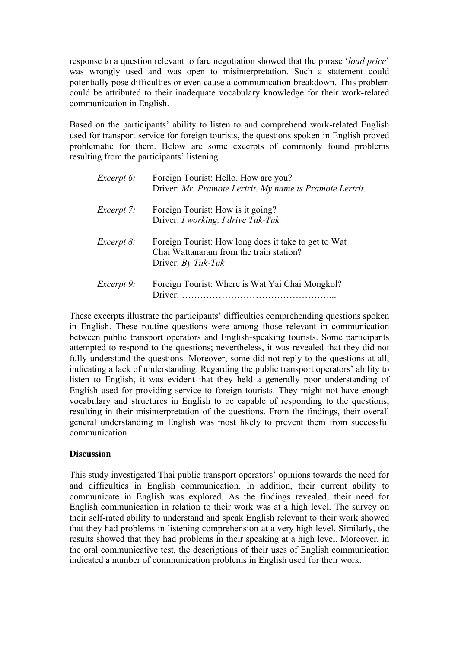response to a question relevant to fare negotiation showed that the phrase '*load price*' was wrongly used and was open to misinterpretation. Such a statement could potentially pose difficulties or even cause a communication breakdown. This problem could be attributed to their inadequate vocabulary knowledge for their work-related communication in English.

Based on the participants' ability to listen to and comprehend work-related English used for transport service for foreign tourists, the questions spoken in English proved problematic for them. Below are some excerpts of commonly found problems resulting from the participants' listening.

| Excerpt 6:        | Foreign Tourist: Hello. How are you?<br>Driver: Mr. Pramote Lertrit. My name is Pramote Lertrit.                        |
|-------------------|-------------------------------------------------------------------------------------------------------------------------|
| <i>Excerpt</i> 7: | Foreign Tourist: How is it going?<br>Driver: I working. I drive Tuk-Tuk.                                                |
| <i>Excerpt 8:</i> | Foreign Tourist: How long does it take to get to Wat<br>Chai Wattanaram from the train station?<br>Driver: $By$ Tuk-Tuk |
| Excerpt 9:        | Foreign Tourist: Where is Wat Yai Chai Mongkol?<br>Driver:                                                              |

These excerpts illustrate the participants' difficulties comprehending questions spoken in English. These routine questions were among those relevant in communication between public transport operators and English-speaking tourists. Some participants attempted to respond to the questions; nevertheless, it was revealed that they did not fully understand the questions. Moreover, some did not reply to the questions at all. indicating a lack of understanding. Regarding the public transport operators' ability to listen to English, it was evident that they held a generally poor understanding of English used for providing service to foreign tourists. They might not have enough vocabulary and structures in English to be capable of responding to the questions, resulting in their misinterpretation of the questions. From the findings, their overall general understanding in English was most likely to prevent them from successful communication.

# **Discussion**

This study investigated Thai public transport operators' opinions towards the need for and difficulties in English communication. In addition, their current ability to communicate in English was explored. As the findings revealed, their need for English communication in relation to their work was at a high level. The survey on their self-rated ability to understand and speak English relevant to their work showed that they had problems in listening comprehension at a very high level. Similarly, the results showed that they had problems in their speaking at a high level. Moreover, in the oral communicative test, the descriptions of their uses of English communication indicated a number of communication problems in English used for their work.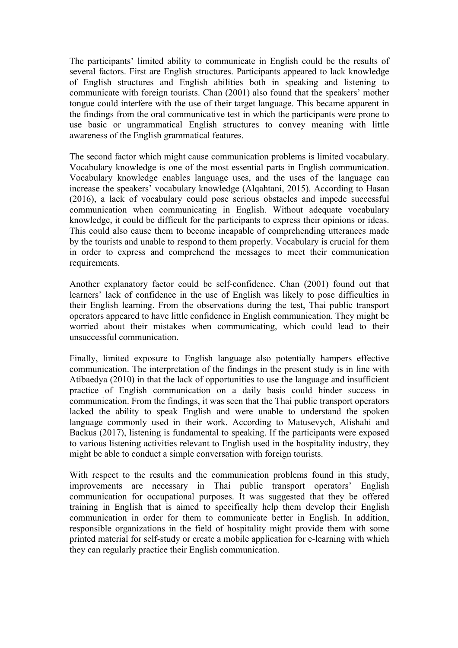The participants' limited ability to communicate in English could be the results of several factors. First are English structures. Participants appeared to lack knowledge of English structures and English abilities both in speaking and listening to communicate with foreign tourists. Chan (2001) also found that the speakers' mother tongue could interfere with the use of their target language. This became apparent in the findings from the oral communicative test in which the participants were prone to use basic or ungrammatical English structures to convey meaning with little awareness of the English grammatical features.

The second factor which might cause communication problems is limited vocabulary. Vocabulary knowledge is one of the most essential parts in English communication. Vocabulary knowledge enables language uses, and the uses of the language can increase the speakers' vocabulary knowledge (Alqahtani, 2015). According to Hasan (2016), a lack of vocabulary could pose serious obstacles and impede successful communication when communicating in English. Without adequate vocabulary knowledge, it could be difficult for the participants to express their opinions or ideas. This could also cause them to become incapable of comprehending utterances made by the tourists and unable to respond to them properly. Vocabulary is crucial for them in order to express and comprehend the messages to meet their communication requirements.

Another explanatory factor could be self-confidence. Chan (2001) found out that learners' lack of confidence in the use of English was likely to pose difficulties in their English learning. From the observations during the test, Thai public transport operators appeared to have little confidence in English communication. They might be worried about their mistakes when communicating, which could lead to their unsuccessful communication.

Finally, limited exposure to English language also potentially hampers effective communication. The interpretation of the findings in the present study is in line with Atibaedya (2010) in that the lack of opportunities to use the language and insufficient practice of English communication on a daily basis could hinder success in communication. From the findings, it was seen that the Thai public transport operators lacked the ability to speak English and were unable to understand the spoken language commonly used in their work. According to Matusevych, Alishahi and Backus (2017), listening is fundamental to speaking. If the participants were exposed to various listening activities relevant to English used in the hospitality industry, they might be able to conduct a simple conversation with foreign tourists.

With respect to the results and the communication problems found in this study, improvements are necessary in Thai public transport operators' English communication for occupational purposes. It was suggested that they be offered training in English that is aimed to specifically help them develop their English communication in order for them to communicate better in English. In addition, responsible organizations in the field of hospitality might provide them with some printed material for self-study or create a mobile application for e-learning with which they can regularly practice their English communication.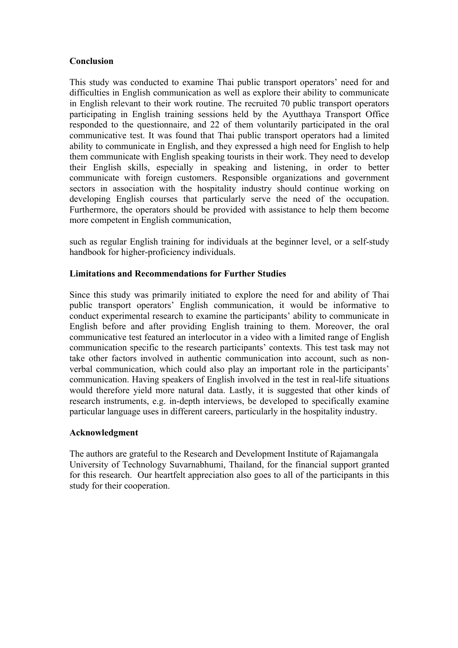#### **Conclusion**

This study was conducted to examine Thai public transport operators' need for and difficulties in English communication as well as explore their ability to communicate in English relevant to their work routine. The recruited 70 public transport operators participating in English training sessions held by the Ayutthaya Transport Office responded to the questionnaire, and 22 of them voluntarily participated in the oral communicative test. It was found that Thai public transport operators had a limited ability to communicate in English, and they expressed a high need for English to help them communicate with English speaking tourists in their work. They need to develop their English skills, especially in speaking and listening, in order to better communicate with foreign customers. Responsible organizations and government sectors in association with the hospitality industry should continue working on developing English courses that particularly serve the need of the occupation. Furthermore, the operators should be provided with assistance to help them become more competent in English communication,

such as regular English training for individuals at the beginner level, or a self-study handbook for higher-proficiency individuals.

#### **Limitations and Recommendations for Further Studies**

Since this study was primarily initiated to explore the need for and ability of Thai public transport operators' English communication, it would be informative to conduct experimental research to examine the participants' ability to communicate in English before and after providing English training to them. Moreover, the oral communicative test featured an interlocutor in a video with a limited range of English communication specific to the research participants' contexts. This test task may not take other factors involved in authentic communication into account, such as nonverbal communication, which could also play an important role in the participants' communication. Having speakers of English involved in the test in real-life situations would therefore yield more natural data. Lastly, it is suggested that other kinds of research instruments, e.g. in-depth interviews, be developed to specifically examine particular language uses in different careers, particularly in the hospitality industry.

#### **Acknowledgment**

The authors are grateful to the Research and Development Institute of Rajamangala University of Technology Suvarnabhumi, Thailand, for the financial support granted for this research. Our heartfelt appreciation also goes to all of the participants in this study for their cooperation.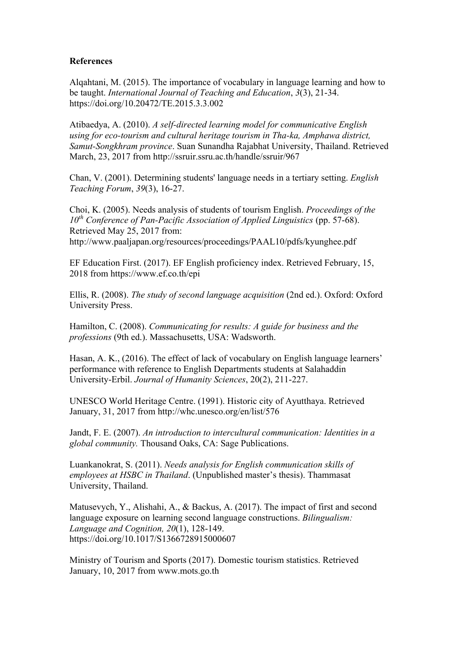#### **References**

Alqahtani, M. (2015). The importance of vocabulary in language learning and how to be taught. *International Journal of Teaching and Education*, *3*(3), 21-34. https://doi.org/10.20472/TE.2015.3.3.002

Atibaedya, A. (2010). *A self-directed learning model for communicative English using for eco-tourism and cultural heritage tourism in Tha-ka, Amphawa district, Samut-Songkhram province*. Suan Sunandha Rajabhat University, Thailand. Retrieved March, 23, 2017 from http://ssruir.ssru.ac.th/handle/ssruir/967

Chan, V. (2001). Determining students' language needs in a tertiary setting. *English Teaching Forum*, *39*(3), 16-27.

Choi, K. (2005). Needs analysis of students of tourism English. *Proceedings of the 10th Conference of Pan-Pacific Association of Applied Linguistics* (pp. 57-68). Retrieved May 25, 2017 from: http://www.paaljapan.org/resources/proceedings/PAAL10/pdfs/kyunghee.pdf

EF Education First. (2017). EF English proficiency index. Retrieved February, 15, 2018 from https://www.ef.co.th/epi

Ellis, R. (2008). *The study of second language acquisition* (2nd ed.). Oxford: Oxford University Press.

Hamilton, C. (2008). *Communicating for results: A guide for business and the professions* (9th ed.). Massachusetts, USA: Wadsworth.

Hasan, A. K., (2016). The effect of lack of vocabulary on English language learners' performance with reference to English Departments students at Salahaddin University-Erbil. *Journal of Humanity Sciences*, 20(2), 211-227.

UNESCO World Heritage Centre. (1991). Historic city of Ayutthaya. Retrieved January, 31, 2017 from http://whc.unesco.org/en/list/576

Jandt, F. E. (2007). *An introduction to intercultural communication: Identities in a global community.* Thousand Oaks, CA: Sage Publications.

Luankanokrat, S. (2011). *Needs analysis for English communication skills of employees at HSBC in Thailand*. (Unpublished master's thesis). Thammasat University, Thailand.

Matusevych, Y., Alishahi, A., & Backus, A. (2017). The impact of first and second language exposure on learning second language constructions. *Bilingualism: Language and Cognition, 20*(1), 128-149. https://doi.org/10.1017/S1366728915000607

Ministry of Tourism and Sports (2017). Domestic tourism statistics. Retrieved January, 10, 2017 from www.mots.go.th